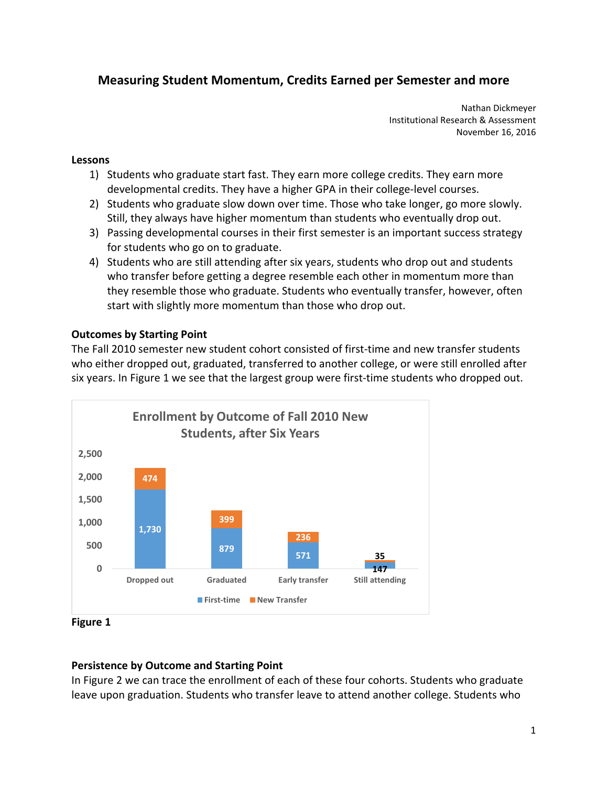# **Measuring Student Momentum, Credits Earned per Semester and more**

 Nathan Dickmeyer Institutional Research & Assessment November 16, 2016

### **Lessons**

- 1) Students who graduate start fast. They earn more college credits. They earn more developmental credits. They have a higher GPA in their college‐level courses.
- 2) Students who graduate slow down over time. Those who take longer, go more slowly. Still, they always have higher momentum than students who eventually drop out.
- 3) Passing developmental courses in their first semester is an important success strategy for students who go on to graduate.
- 4) Students who are still attending after six years, students who drop out and students who transfer before getting a degree resemble each other in momentum more than they resemble those who graduate. Students who eventually transfer, however, often start with slightly more momentum than those who drop out.

# **Outcomes by Starting Point**

 The Fall 2010 semester new student cohort consisted of first‐time and new transfer students who either dropped out, graduated, transferred to another college, or were still enrolled after six years. In Figure 1 we see that the largest group were first-time students who dropped out.



 **Figure 1**

# **Persistence by Outcome and Starting Point**

 In Figure 2 we can trace the enrollment of each of these four cohorts. Students who graduate leave upon graduation. Students who transfer leave to attend another college. Students who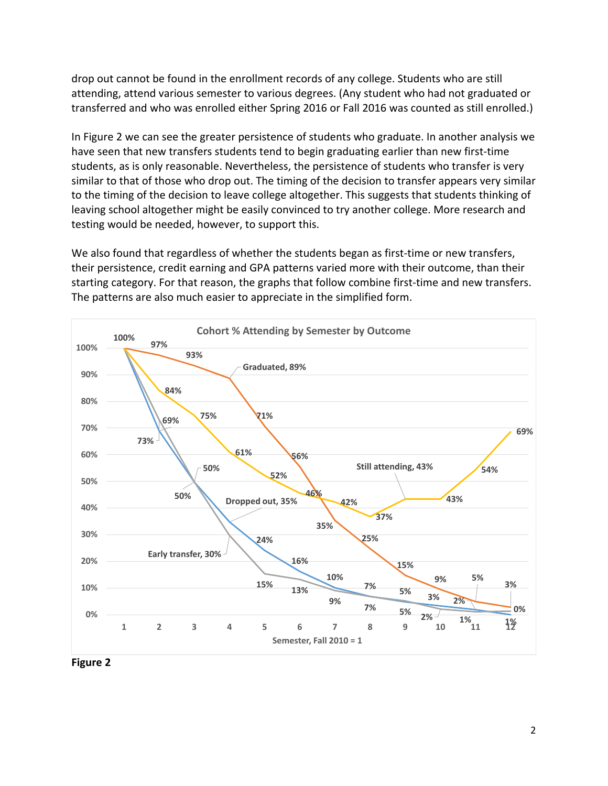drop out cannot be found in the enrollment records of any college. Students who are still attending, attend various semester to various degrees. (Any student who had not graduated or transferred and who was enrolled either Spring 2016 or Fall 2016 was counted as still enrolled.)

 In Figure 2 we can see the greater persistence of students who graduate. In another analysis we have seen that new transfers students tend to begin graduating earlier than new first‐time students, as is only reasonable. Nevertheless, the persistence of students who transfer is very similar to that of those who drop out. The timing of the decision to transfer appears very similar to the timing of the decision to leave college altogether. This suggests that students thinking of leaving school altogether might be easily convinced to try another college. More research and testing would be needed, however, to support this.

 We also found that regardless of whether the students began as first‐time or new transfers, their persistence, credit earning and GPA patterns varied more with their outcome, than their starting category. For that reason, the graphs that follow combine first‐time and new transfers. The patterns are also much easier to appreciate in the simplified form.



 **Figure 2**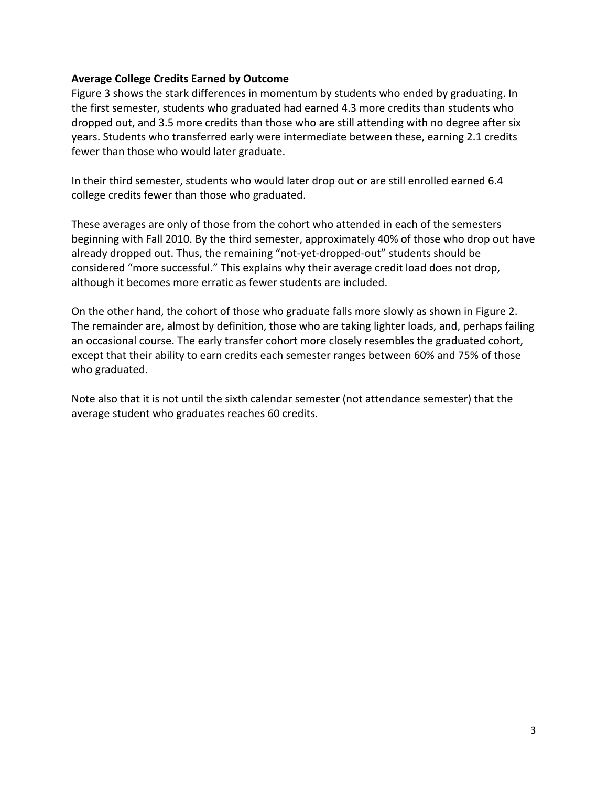### **Average College Credits Earned by Outcome**

 Figure 3 shows the stark differences in momentum by students who ended by graduating. In the first semester, students who graduated had earned 4.3 more credits than students who dropped out, and 3.5 more credits than those who are still attending with no degree after six years. Students who transferred early were intermediate between these, earning 2.1 credits fewer than those who would later graduate.

 In their third semester, students who would later drop out or are still enrolled earned 6.4 college credits fewer than those who graduated.

 These averages are only of those from the cohort who attended in each of the semesters beginning with Fall 2010. By the third semester, approximately 40% of those who drop out have already dropped out. Thus, the remaining "not‐yet‐dropped‐out" students should be considered "more successful." This explains why their average credit load does not drop, although it becomes more erratic as fewer students are included.

 On the other hand, the cohort of those who graduate falls more slowly as shown in Figure 2. The remainder are, almost by definition, those who are taking lighter loads, and, perhaps failing an occasional course. The early transfer cohort more closely resembles the graduated cohort, except that their ability to earn credits each semester ranges between 60% and 75% of those who graduated.

 Note also that it is not until the sixth calendar semester (not attendance semester) that the average student who graduates reaches 60 credits.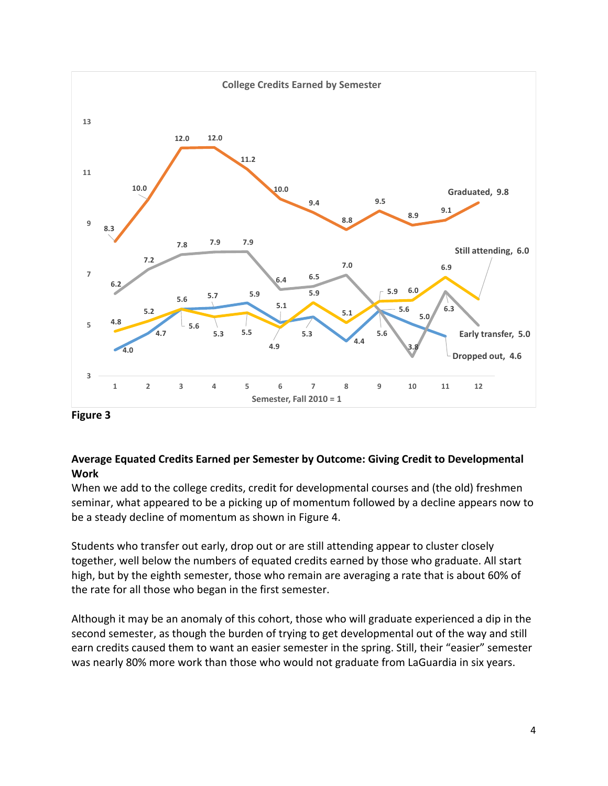

 **Figure 3**

# **Average Equated Credits Earned per Semester by Outcome: Giving Credit to Developmental Work**

 When we add to the college credits, credit for developmental courses and (the old) freshmen seminar, what appeared to be a picking up of momentum followed by a decline appears now to be a steady decline of momentum as shown in Figure 4.

 Students who transfer out early, drop out or are still attending appear to cluster closely together, well below the numbers of equated credits earned by those who graduate. All start high, but by the eighth semester, those who remain are averaging a rate that is about 60% of the rate for all those who began in the first semester.

 Although it may be an anomaly of this cohort, those who will graduate experienced a dip in the second semester, as though the burden of trying to get developmental out of the way and still earn credits caused them to want an easier semester in the spring. Still, their "easier" semester was nearly 80% more work than those who would not graduate from LaGuardia in six years.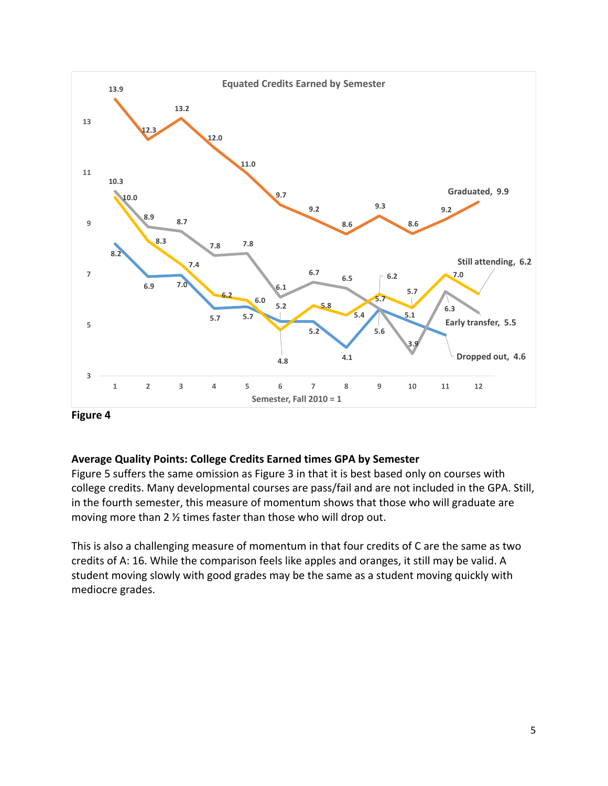

 **Figure 4**

# **Average Quality Points: College Credits Earned times GPA by Semester**

 Figure 5 suffers the same omission as Figure 3 in that it is best based only on courses with college credits. Many developmental courses are pass/fail and are not included in the GPA. Still, in the fourth semester, this measure of momentum shows that those who will graduate are moving more than 2 ½ times faster than those who will drop out.

 This is also a challenging measure of momentum in that four credits of C are the same as two credits of A: 16. While the comparison feels like apples and oranges, it still may be valid. A student moving slowly with good grades may be the same as a student moving quickly with mediocre grades.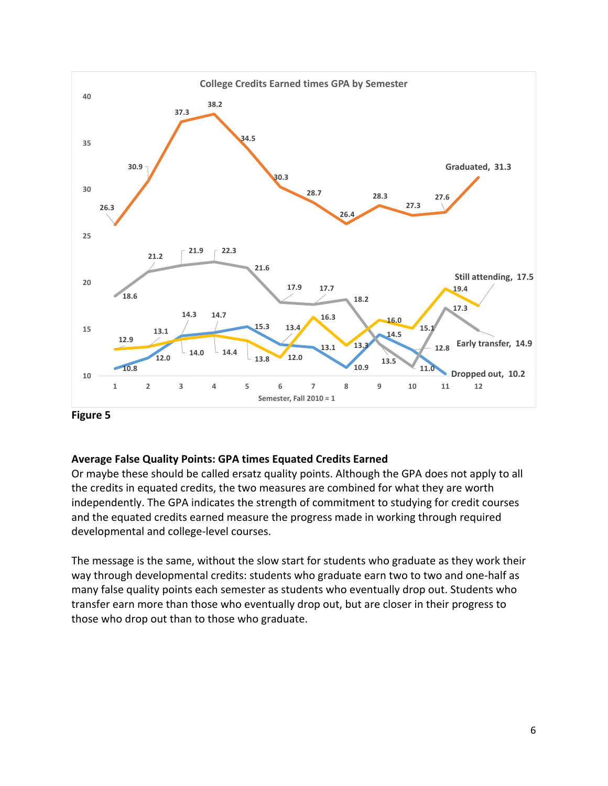

 **Figure 5**

# **Average False Quality Points: GPA times Equated Credits Earned**

 Or maybe these should be called ersatz quality points. Although the GPA does not apply to all the credits in equated credits, the two measures are combined for what they are worth independently. The GPA indicates the strength of commitment to studying for credit courses and the equated credits earned measure the progress made in working through required developmental and college‐level courses.

 The message is the same, without the slow start for students who graduate as they work their way through developmental credits: students who graduate earn two to two and one‐half as many false quality points each semester as students who eventually drop out. Students who transfer earn more than those who eventually drop out, but are closer in their progress to those who drop out than to those who graduate.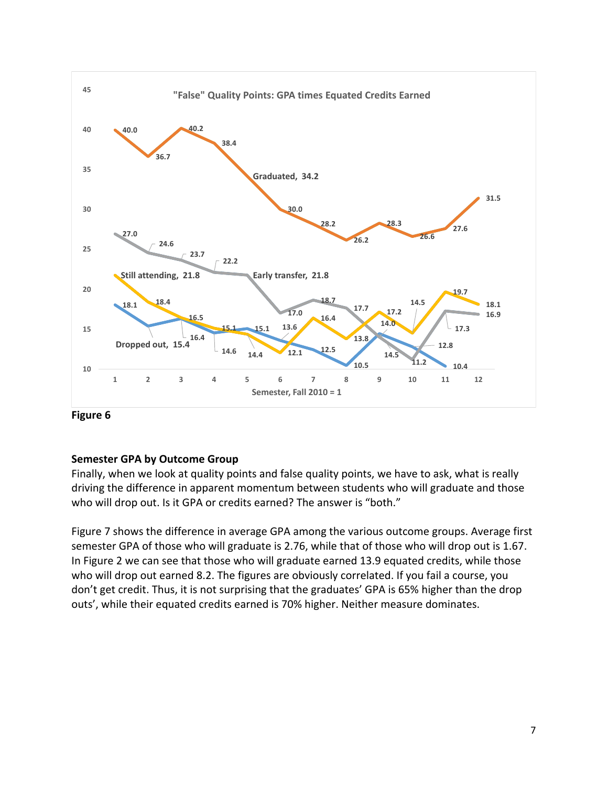

 **Figure 6**

# **Semester GPA by Outcome Group**

 Finally, when we look at quality points and false quality points, we have to ask, what is really driving the difference in apparent momentum between students who will graduate and those who will drop out. Is it GPA or credits earned? The answer is "both."

 Figure 7 shows the difference in average GPA among the various outcome groups. Average first semester GPA of those who will graduate is 2.76, while that of those who will drop out is 1.67. In Figure 2 we can see that those who will graduate earned 13.9 equated credits, while those who will drop out earned 8.2. The figures are obviously correlated. If you fail a course, you don't get credit. Thus, it is not surprising that the graduates' GPA is 65% higher than the drop outs', while their equated credits earned is 70% higher. Neither measure dominates.